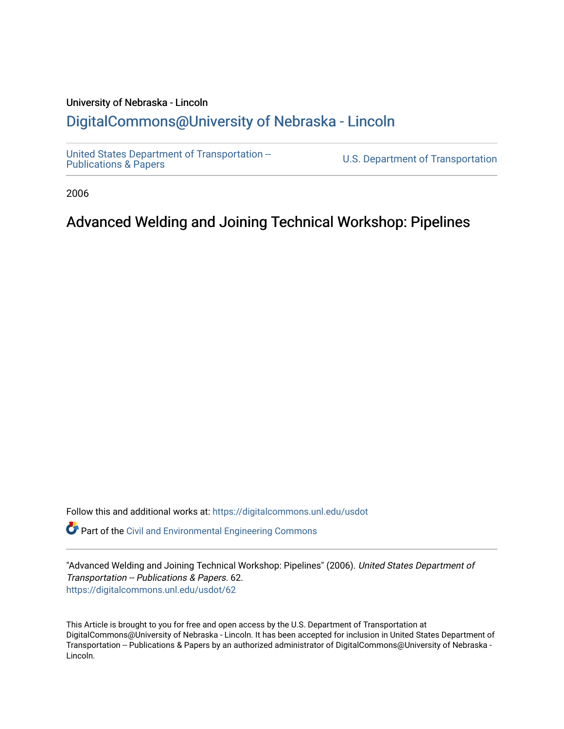# University of Nebraska - Lincoln [DigitalCommons@University of Nebraska - Lincoln](https://digitalcommons.unl.edu/)

[United States Department of Transportation --](https://digitalcommons.unl.edu/usdot)<br>Publications & Papers

U.S. Department of Transportation

2006

# Advanced Welding and Joining Technical Workshop: Pipelines

Follow this and additional works at: [https://digitalcommons.unl.edu/usdot](https://digitalcommons.unl.edu/usdot?utm_source=digitalcommons.unl.edu%2Fusdot%2F62&utm_medium=PDF&utm_campaign=PDFCoverPages) 

Part of the [Civil and Environmental Engineering Commons](http://network.bepress.com/hgg/discipline/251?utm_source=digitalcommons.unl.edu%2Fusdot%2F62&utm_medium=PDF&utm_campaign=PDFCoverPages)

"Advanced Welding and Joining Technical Workshop: Pipelines" (2006). United States Department of Transportation -- Publications & Papers. 62. [https://digitalcommons.unl.edu/usdot/62](https://digitalcommons.unl.edu/usdot/62?utm_source=digitalcommons.unl.edu%2Fusdot%2F62&utm_medium=PDF&utm_campaign=PDFCoverPages)

This Article is brought to you for free and open access by the U.S. Department of Transportation at DigitalCommons@University of Nebraska - Lincoln. It has been accepted for inclusion in United States Department of Transportation -- Publications & Papers by an authorized administrator of DigitalCommons@University of Nebraska - Lincoln.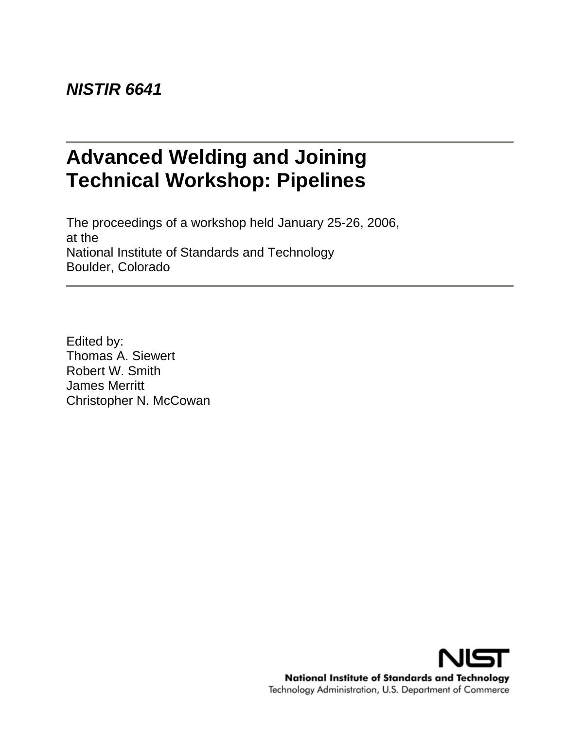# *NISTIR 6641*

# **Advanced Welding and Joining Technical Workshop: Pipelines**

The proceedings of a workshop held January 25-26, 2006, at the National Institute of Standards and Technology Boulder, Colorado

Edited by: Thomas A. Siewert Robert W. Smith James Merritt Christopher N. McCowan

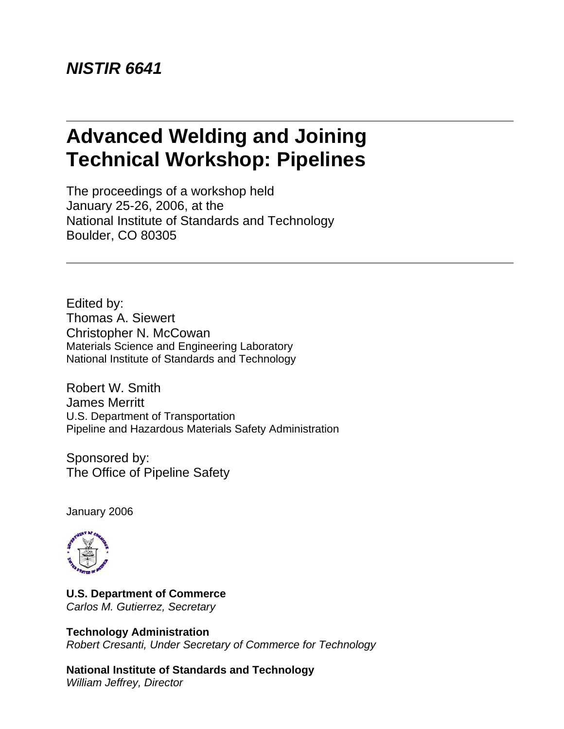# **Advanced Welding and Joining Technical Workshop: Pipelines**

The proceedings of a workshop held January 25-26, 2006, at the National Institute of Standards and Technology Boulder, CO 80305

Edited by: Thomas A. Siewert Christopher N. McCowan Materials Science and Engineering Laboratory National Institute of Standards and Technology

Robert W. Smith James Merritt U.S. Department of Transportation Pipeline and Hazardous Materials Safety Administration

Sponsored by: The Office of Pipeline Safety

January 2006



**U.S. Department of Commerce**  *Carlos M. Gutierrez, Secretary* 

# **Technology Administration**

*Robert Cresanti, Under Secretary of Commerce for Technology* 

**National Institute of Standards and Technology** *William Jeffrey, Director*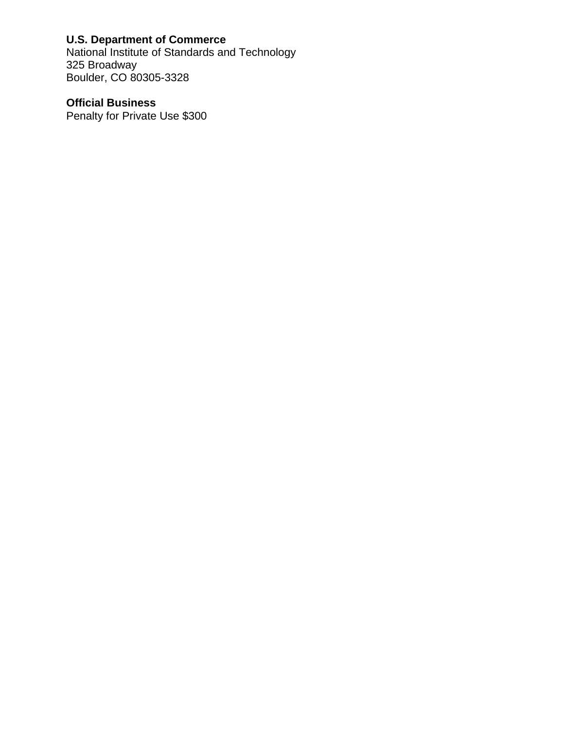# **U.S. Department of Commerce**

National Institute of Standards and Technology 325 Broadway Boulder, CO 80305-3328

# **Official Business**

Penalty for Private Use \$300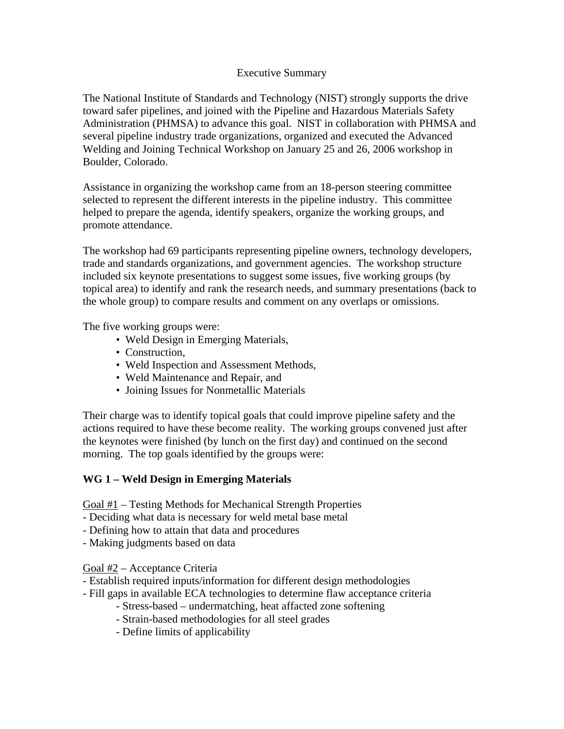#### Executive Summary

The National Institute of Standards and Technology (NIST) strongly supports the drive toward safer pipelines, and joined with the Pipeline and Hazardous Materials Safety Administration (PHMSA) to advance this goal. NIST in collaboration with PHMSA and several pipeline industry trade organizations, organized and executed the Advanced Welding and Joining Technical Workshop on January 25 and 26, 2006 workshop in Boulder, Colorado.

Assistance in organizing the workshop came from an 18-person steering committee selected to represent the different interests in the pipeline industry. This committee helped to prepare the agenda, identify speakers, organize the working groups, and promote attendance.

The workshop had 69 participants representing pipeline owners, technology developers, trade and standards organizations, and government agencies. The workshop structure included six keynote presentations to suggest some issues, five working groups (by topical area) to identify and rank the research needs, and summary presentations (back to the whole group) to compare results and comment on any overlaps or omissions.

The five working groups were:

- Weld Design in Emerging Materials,
- Construction,
- Weld Inspection and Assessment Methods,
- Weld Maintenance and Repair, and
- Joining Issues for Nonmetallic Materials

Their charge was to identify topical goals that could improve pipeline safety and the actions required to have these become reality. The working groups convened just after the keynotes were finished (by lunch on the first day) and continued on the second morning. The top goals identified by the groups were:

#### **WG 1 – Weld Design in Emerging Materials**

Goal #1 – Testing Methods for Mechanical Strength Properties

- Deciding what data is necessary for weld metal base metal
- Defining how to attain that data and procedures
- Making judgments based on data

Goal #2 – Acceptance Criteria

- Establish required inputs/information for different design methodologies
- Fill gaps in available ECA technologies to determine flaw acceptance criteria
	- Stress-based undermatching, heat affacted zone softening
	- Strain-based methodologies for all steel grades
	- Define limits of applicability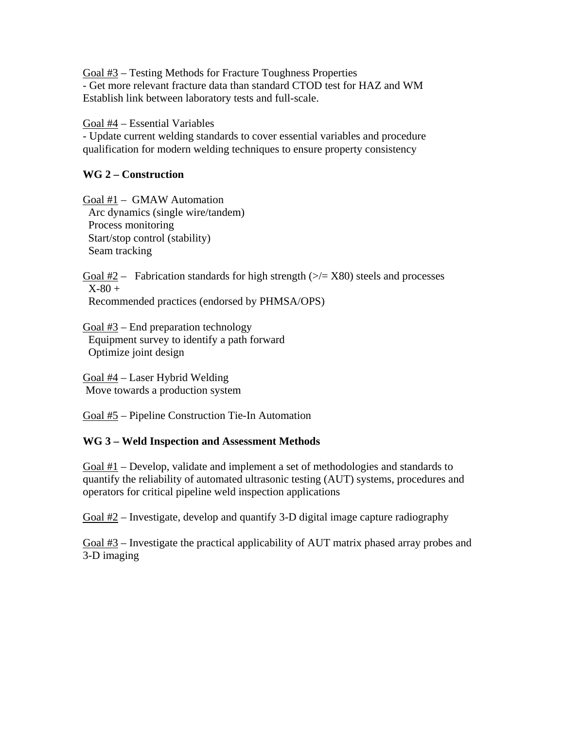Goal #3 – Testing Methods for Fracture Toughness Properties - Get more relevant fracture data than standard CTOD test for HAZ and WM Establish link between laboratory tests and full-scale.

Goal #4 – Essential Variables

- Update current welding standards to cover essential variables and procedure qualification for modern welding techniques to ensure property consistency

### **WG 2 – Construction**

Goal #1 – GMAW Automation Arc dynamics (single wire/tandem) Process monitoring Start/stop control (stability) Seam tracking

Goal  $#2$  – Fabrication standards for high strength ( $\ge$ /= X80) steels and processes  $X-80 +$ Recommended practices (endorsed by PHMSA/OPS)

Goal  $#3$  – End preparation technology Equipment survey to identify a path forward Optimize joint design

Goal #4 – Laser Hybrid Welding Move towards a production system

Goal #5 – Pipeline Construction Tie-In Automation

## **WG 3 – Weld Inspection and Assessment Methods**

Goal #1 – Develop, validate and implement a set of methodologies and standards to quantify the reliability of automated ultrasonic testing (AUT) systems, procedures and operators for critical pipeline weld inspection applications

Goal #2 – Investigate, develop and quantify 3-D digital image capture radiography

Goal #3 – Investigate the practical applicability of AUT matrix phased array probes and 3-D imaging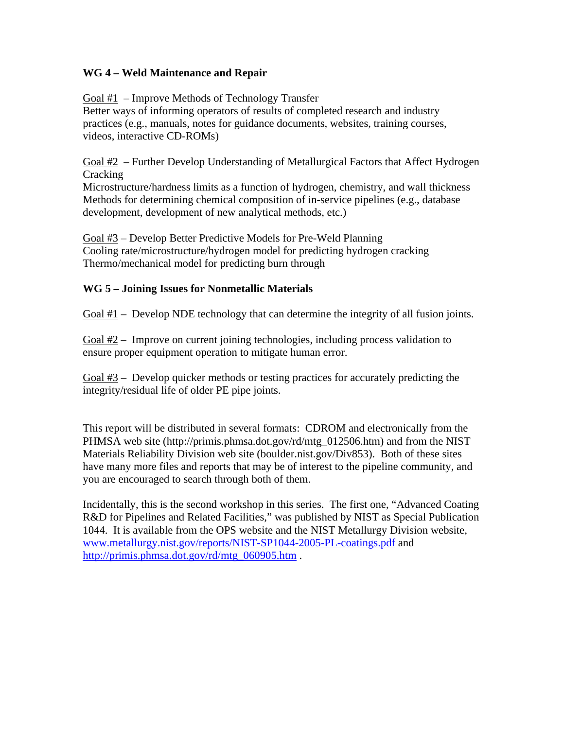## **WG 4 – Weld Maintenance and Repair**

Goal #1 – Improve Methods of Technology Transfer Better ways of informing operators of results of completed research and industry practices (e.g., manuals, notes for guidance documents, websites, training courses, videos, interactive CD-ROMs)

 $\frac{\text{Goal #2}}{}$  – Further Develop Understanding of Metallurgical Factors that Affect Hydrogen Cracking

Microstructure/hardness limits as a function of hydrogen, chemistry, and wall thickness Methods for determining chemical composition of in-service pipelines (e.g., database development, development of new analytical methods, etc.)

Goal #3 – Develop Better Predictive Models for Pre-Weld Planning Cooling rate/microstructure/hydrogen model for predicting hydrogen cracking Thermo/mechanical model for predicting burn through

## **WG 5 – Joining Issues for Nonmetallic Materials**

Goal #1 – Develop NDE technology that can determine the integrity of all fusion joints.

Goal #2 – Improve on current joining technologies, including process validation to ensure proper equipment operation to mitigate human error.

Goal #3 – Develop quicker methods or testing practices for accurately predicting the integrity/residual life of older PE pipe joints.

This report will be distributed in several formats: CDROM and electronically from the PHMSA web site (http://primis.phmsa.dot.gov/rd/mtg\_012506.htm) and from the NIST Materials Reliability Division web site (boulder.nist.gov/Div853). Both of these sites have many more files and reports that may be of interest to the pipeline community, and you are encouraged to search through both of them.

Incidentally, this is the second workshop in this series. The first one, "Advanced Coating R&D for Pipelines and Related Facilities," was published by NIST as Special Publication 1044. It is available from the OPS website and the NIST Metallurgy Division website, [www.metallurgy.nist.gov/reports/NIST-SP1044-2005-PL-coatings.pdf](http://www.metallurgy.nist.gov/reports/NIST-SP1044-2005-PL-coatings.pdf) and [http://primis.phmsa.dot.gov/rd/mtg\\_060905.htm](http://primis.phmsa.dot.gov/rd/mtg_060905.htm) .